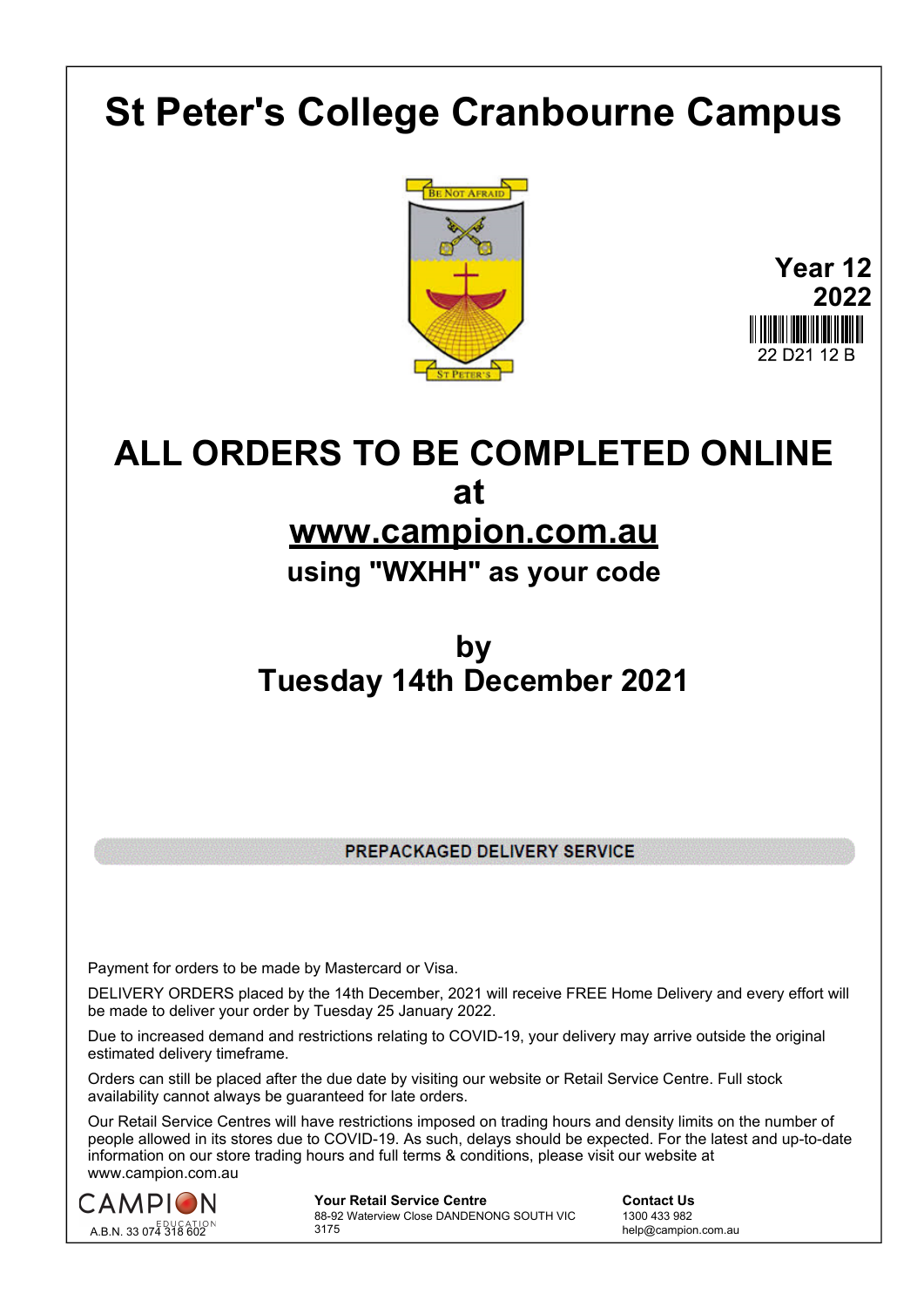# **St Peter's College Cranbourne Campus**



**Year 12 2022** 22 D21 12 B

## **ALL ORDERS TO BE COMPLETED ONLINE at www.campion.com.au**

#### **using "WXHH" as your code**

### **by Tuesday 14th December 2021**

PREPACKAGED DELIVERY SERVICE

Payment for orders to be made by Mastercard or Visa.

DELIVERY ORDERS placed by the 14th December, 2021 will receive FREE Home Delivery and every effort will be made to deliver your order by Tuesday 25 January 2022.

Due to increased demand and restrictions relating to COVID-19, your delivery may arrive outside the original estimated delivery timeframe.

Orders can still be placed after the due date by visiting our website or Retail Service Centre. Full stock availability cannot always be guaranteed for late orders.

Our Retail Service Centres will have restrictions imposed on trading hours and density limits on the number of people allowed in its stores due to COVID-19. As such, delays should be expected. For the latest and up-to-date information on our store trading hours and full terms & conditions, please visit our website at www.campion.com.au



**Your Retail Service Centre Contact Us** 88-92 Waterview Close DANDENONG SOUTH VIC 3175

1300 433 982 help@campion.com.au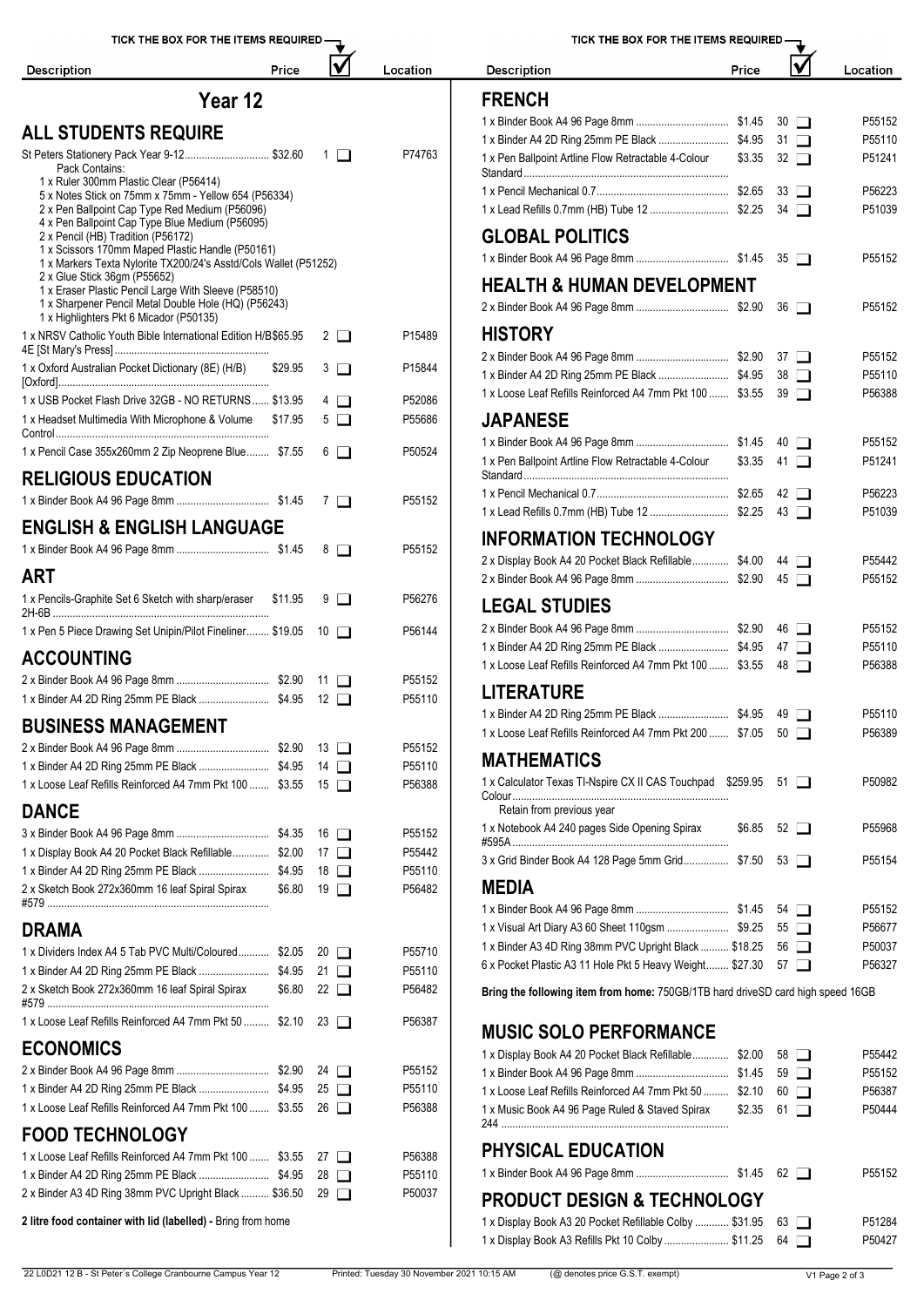| TICK THE BOX FOR THE ITEMS REQUIRED -                                                             | TICK THE BOX FOR THE ITEMS REQUIRED - |                  |                                                                                                                    |       |                             |          |
|---------------------------------------------------------------------------------------------------|---------------------------------------|------------------|--------------------------------------------------------------------------------------------------------------------|-------|-----------------------------|----------|
| Price<br><b>Description</b>                                                                       |                                       | Location         | <b>Description</b>                                                                                                 | Price |                             | Location |
| Year 12                                                                                           |                                       |                  | <b>FRENCH</b>                                                                                                      |       |                             |          |
|                                                                                                   |                                       |                  |                                                                                                                    |       |                             | P55152   |
| <b>ALL STUDENTS REQUIRE</b>                                                                       |                                       |                  |                                                                                                                    |       |                             | P55110   |
| St Peters Stationery Pack Year 9-12 \$32.60<br>Pack Contains:                                     | $1$ $\Box$                            | P74763           | 1 x Pen Ballpoint Artline Flow Retractable 4-Colour                                                                |       | $$3.35 \quad 32 \quad \Box$ | P51241   |
| 1 x Ruler 300mm Plastic Clear (P56414)<br>5 x Notes Stick on 75mm x 75mm - Yellow 654 (P56334)    |                                       |                  |                                                                                                                    |       |                             | P56223   |
| 2 x Pen Ballpoint Cap Type Red Medium (P56096)<br>4 x Pen Ballpoint Cap Type Blue Medium (P56095) |                                       |                  |                                                                                                                    |       |                             | P51039   |
| 2 x Pencil (HB) Tradition (P56172)<br>1 x Scissors 170mm Maped Plastic Handle (P50161)            |                                       |                  | <b>GLOBAL POLITICS</b>                                                                                             |       |                             |          |
| 1 x Markers Texta Nylorite TX200/24's Asstd/Cols Wallet (P51252)                                  |                                       |                  |                                                                                                                    |       |                             | P55152   |
| 2 x Glue Stick 36gm (P55652)<br>1 x Eraser Plastic Pencil Large With Sleeve (P58510)              |                                       |                  | <b>HEALTH &amp; HUMAN DEVELOPMENT</b>                                                                              |       |                             |          |
| 1 x Sharpener Pencil Metal Double Hole (HQ) (P56243)<br>1 x Highlighters Pkt 6 Micador (P50135)   |                                       |                  |                                                                                                                    |       |                             | P55152   |
| 1 x NRSV Catholic Youth Bible International Edition H/B\$65.95                                    | $2\Box$                               | P15489           | <b>HISTORY</b>                                                                                                     |       |                             |          |
| 1 x Oxford Australian Pocket Dictionary (8E) (H/B)<br>\$29.95                                     | $3$ $\Box$                            | P15844           |                                                                                                                    |       |                             | P55152   |
|                                                                                                   |                                       |                  |                                                                                                                    |       |                             | P55110   |
| 1 x USB Pocket Flash Drive 32GB - NO RETURNS  \$13.95                                             | $4\Box$                               | P52086           | 1 x Loose Leaf Refills Reinforced A4 7mm Pkt 100  \$3.55 39                                                        |       |                             | P56388   |
| 1 x Headset Multimedia With Microphone & Volume \$17.95                                           | $5\Box$                               | P55686           | <b>JAPANESE</b>                                                                                                    |       |                             |          |
|                                                                                                   | $6\Box$                               |                  |                                                                                                                    |       |                             | P55152   |
| 1 x Pencil Case 355x260mm 2 Zip Neoprene Blue \$7.55<br><b>RELIGIOUS EDUCATION</b>                |                                       | P50524           | 1 x Pen Ballpoint Artline Flow Retractable 4-Colour                                                                |       | $$3.35$ 41 $\Box$           | P51241   |
|                                                                                                   |                                       |                  |                                                                                                                    |       |                             | P56223   |
|                                                                                                   |                                       | P55152           |                                                                                                                    |       |                             | P51039   |
| <b>ENGLISH &amp; ENGLISH LANGUAGE</b>                                                             |                                       |                  | <b>INFORMATION TECHNOLOGY</b>                                                                                      |       |                             |          |
|                                                                                                   | $8\Box$                               | P55152           | 2 x Display Book A4 20 Pocket Black Refillable \$4.00 44                                                           |       |                             | P55442   |
| <b>ART</b>                                                                                        |                                       |                  |                                                                                                                    |       |                             | P55152   |
| 1 x Pencils-Graphite Set 6 Sketch with sharp/eraser \$11.95                                       | $9$ $\Box$                            | P56276           | <b>LEGAL STUDIES</b>                                                                                               |       |                             |          |
| 1 x Pen 5 Piece Drawing Set Unipin/Pilot Fineliner \$19.05 10                                     |                                       | P56144           |                                                                                                                    |       |                             | P55152   |
| <b>ACCOUNTING</b>                                                                                 |                                       |                  |                                                                                                                    |       |                             | P55110   |
|                                                                                                   |                                       | P55152           | 1 x Loose Leaf Refills Reinforced A4 7mm Pkt 100  \$3.55 48                                                        |       |                             | P56388   |
|                                                                                                   |                                       | P55110           | <b>LITERATURE</b>                                                                                                  |       |                             |          |
| <b>BUSINESS MANAGEMENT</b>                                                                        |                                       |                  |                                                                                                                    |       |                             | P55110   |
|                                                                                                   |                                       | P55152           | 1 x Loose Leaf Refills Reinforced A4 7mm Pkt 200  \$7.05 50                                                        |       |                             | P56389   |
|                                                                                                   |                                       | P55110           | <b>MATHEMATICS</b>                                                                                                 |       |                             |          |
| 1 x Loose Leaf Refills Reinforced A4 7mm Pkt 100  \$3.55 15                                       |                                       | P56388           | 1 x Calculator Texas TI-Nspire CX II CAS Touchpad \$259.95 51                                                      |       |                             | P50982   |
|                                                                                                   |                                       |                  | Retain from previous year                                                                                          |       |                             |          |
| <b>DANCE</b>                                                                                      |                                       |                  | 1 x Notebook A4 240 pages Side Opening Spirax                                                                      |       | $$6.85$ 52 $\Box$           | P55968   |
| 1 x Display Book A4 20 Pocket Black Refillable \$2.00 17                                          |                                       | P55152<br>P55442 |                                                                                                                    |       |                             |          |
|                                                                                                   |                                       | P55110           | 3 x Grid Binder Book A4 128 Page 5mm Grid \$7.50                                                                   |       | $53$ $\Box$                 | P55154   |
| 2 x Sketch Book 272x360mm 16 leaf Spiral Spirax                                                   | $$6.80$ 19 $\Box$                     | P56482           | <b>MEDIA</b>                                                                                                       |       |                             |          |
|                                                                                                   |                                       |                  |                                                                                                                    |       |                             | P55152   |
| <b>DRAMA</b>                                                                                      |                                       |                  | 1 x Visual Art Diary A3 60 Sheet 110gsm  \$9.25 55                                                                 |       |                             | P56677   |
| 1 x Dividers Index A4 5 Tab PVC Multi/Coloured \$2.05                                             | $20$ $\Box$                           | P55710           | 1 x Binder A3 4D Ring 38mm PVC Upright Black  \$18.25 56                                                           |       |                             | P50037   |
|                                                                                                   |                                       | P55110           | 6 x Pocket Plastic A3 11 Hole Pkt 5 Heavy Weight \$27.30 57                                                        |       |                             | P56327   |
| 2 x Sketch Book 272x360mm 16 leaf Spiral Spirax<br>\$6.80                                         | 22 □                                  | P56482           | Bring the following item from home: 750GB/1TB hard driveSD card high speed 16GB                                    |       |                             |          |
| 1 x Loose Leaf Refills Reinforced A4 7mm Pkt 50  \$2.10 23                                        |                                       | P56387           |                                                                                                                    |       |                             |          |
|                                                                                                   |                                       |                  | <b>MUSIC SOLO PERFORMANCE</b>                                                                                      |       |                             |          |
| <b>ECONOMICS</b>                                                                                  |                                       |                  | 1 x Display Book A4 20 Pocket Black Refillable \$2.00 58                                                           |       |                             | P55442   |
|                                                                                                   |                                       | P55152           |                                                                                                                    |       |                             | P55152   |
| 1 x Loose Leaf Refills Reinforced A4 7mm Pkt 100  \$3.55 26                                       |                                       | P55110<br>P56388 | 1 x Loose Leaf Refills Reinforced A4 7mm Pkt 50  \$2.10 60                                                         |       |                             | P56387   |
| <b>FOOD TECHNOLOGY</b>                                                                            |                                       |                  | 1 x Music Book A4 96 Page Ruled & Staved Spirax                                                                    |       | $$2.35$ 61 $\Box$           | P50444   |
| 1 x Loose Leaf Refills Reinforced A4 7mm Pkt 100  \$3.55 27                                       |                                       | P56388           | PHYSICAL EDUCATION                                                                                                 |       |                             |          |
|                                                                                                   |                                       | P55110           |                                                                                                                    |       |                             | P55152   |
| 2 x Binder A3 4D Ring 38mm PVC Upright Black  \$36.50 29                                          |                                       | P50037           |                                                                                                                    |       |                             |          |
|                                                                                                   |                                       |                  | <b>PRODUCT DESIGN &amp; TECHNOLOGY</b>                                                                             |       |                             |          |
| 2 litre food container with lid (labelled) - Bring from home                                      |                                       |                  | 1 x Display Book A3 20 Pocket Refillable Colby  \$31.95 63<br>$D'$ . I. $D$ . I. AO $D$ . CII. $D$ LL AO $O$ . II. |       | $A \cup A = A$              | P51284   |

| TICK THE BOX FOR THE ITEMS REQUIRED -                                           |        |    |             |          |
|---------------------------------------------------------------------------------|--------|----|-------------|----------|
| <b>Description</b>                                                              | Price  |    |             | Location |
| <b>FRENCH</b>                                                                   |        |    |             |          |
|                                                                                 |        |    | $30 \Box$   | P55152   |
|                                                                                 |        |    | $31$ $\Box$ | P55110   |
| 1 x Pen Ballpoint Artline Flow Retractable 4-Colour                             | \$3.35 |    | $32\Box$    | P51241   |
|                                                                                 |        |    | $33$ $\Box$ | P56223   |
|                                                                                 |        |    | $34$ $\Box$ | P51039   |
| <b>GLOBAL POLITICS</b>                                                          |        |    |             |          |
|                                                                                 |        |    | $35$ $\Box$ | P55152   |
| <b>HEALTH &amp; HUMAN DEVELOPMENT</b>                                           |        |    |             |          |
|                                                                                 |        |    | $36$ $\Box$ | P55152   |
| HISTORY                                                                         |        |    |             |          |
|                                                                                 |        |    | $37$ $\Box$ | P55152   |
|                                                                                 |        |    | $38$ $\Box$ | P55110   |
| 1 x Loose Leaf Refills Reinforced A4 7mm Pkt 100  \$3.55                        |        |    | $39$ $\Box$ | P56388   |
| <b>JAPANESE</b>                                                                 |        |    |             |          |
|                                                                                 |        |    | 40 □        | P55152   |
| 1 x Pen Ballpoint Artline Flow Retractable 4-Colour                             | \$3.35 |    | $41\Box$    | P51241   |
|                                                                                 |        |    | $42 \Box$   | P56223   |
|                                                                                 |        |    | $43$ $\Box$ | P51039   |
| <b>INFORMATION TECHNOLOGY</b>                                                   |        |    |             |          |
| 2 x Display Book A4 20 Pocket Black Refillable \$4.00                           |        |    | 44 1        | P55442   |
|                                                                                 |        |    | $45\Box$    | P55152   |
| <b>LEGAL STUDIES</b>                                                            |        |    |             |          |
|                                                                                 |        | 46 | $\Box$      | P55152   |
|                                                                                 |        |    | $47\Box$    | P55110   |
| 1 x Loose Leaf Refills Reinforced A4 7mm Pkt 100  \$3.55                        |        |    | $48$ $\Box$ | P56388   |
| LITERATURE                                                                      |        |    |             |          |
|                                                                                 |        |    |             | P55110   |
| 1 x Loose Leaf Refills Reinforced A4 7mm Pkt 200  \$7.05                        |        |    | $50$ $\Box$ | P56389   |
| <b>MATHEMATICS</b>                                                              |        |    |             |          |
| 1 x Calculator Texas TI-Nspire CX II CAS Touchpad \$259.95                      |        |    | $51$ $\Box$ | P50982   |
| Retain from previous year<br>1 x Notebook A4 240 pages Side Opening Spirax      | \$6.85 |    | 52 $\Box$   | P55968   |
|                                                                                 |        |    |             |          |
| 3 x Grid Binder Book A4 128 Page 5mm Grid \$7.50                                |        |    | $53 \Box$   | P55154   |
| <b>MEDIA</b>                                                                    |        |    |             |          |
|                                                                                 |        |    | $54$ $\Box$ | P55152   |
|                                                                                 |        |    | $55$ $\Box$ | P56677   |
| 1 x Binder A3 4D Ring 38mm PVC Upright Black  \$18.25                           |        |    | 56 I I      | P50037   |
| 6 x Pocket Plastic A3 11 Hole Pkt 5 Heavy Weight \$27.30                        |        |    | 57 I        | P56327   |
| Bring the following item from home: 750GB/1TB hard driveSD card high speed 16GB |        |    |             |          |

| 1 x Display Book A4 20 Pocket Black Refillable \$2.00 58   |        |             | P55442             |
|------------------------------------------------------------|--------|-------------|--------------------|
|                                                            |        |             | P55152             |
| 1 x Loose Leaf Refills Reinforced A4 7mm Pkt 50  \$2.10    |        | $60$ $\Box$ | P56387             |
| 1 x Music Book A4 96 Page Ruled & Staved Spirax            | \$2.35 | $61$ $\Box$ | P50444             |
| <b>PHYSICAL EDUCATION</b>                                  |        |             |                    |
|                                                            |        |             | P <sub>55152</sub> |
| <b>PRODUCT DESIGN &amp; TECHNOLOGY</b>                     |        |             |                    |
| 1 x Display Book A3 20 Pocket Refillable Colby  \$31.95 63 |        |             | P51284             |
| 1 x Display Book A3 Refills Pkt 10 Colby  \$11.25 64 □     |        |             | P50427             |